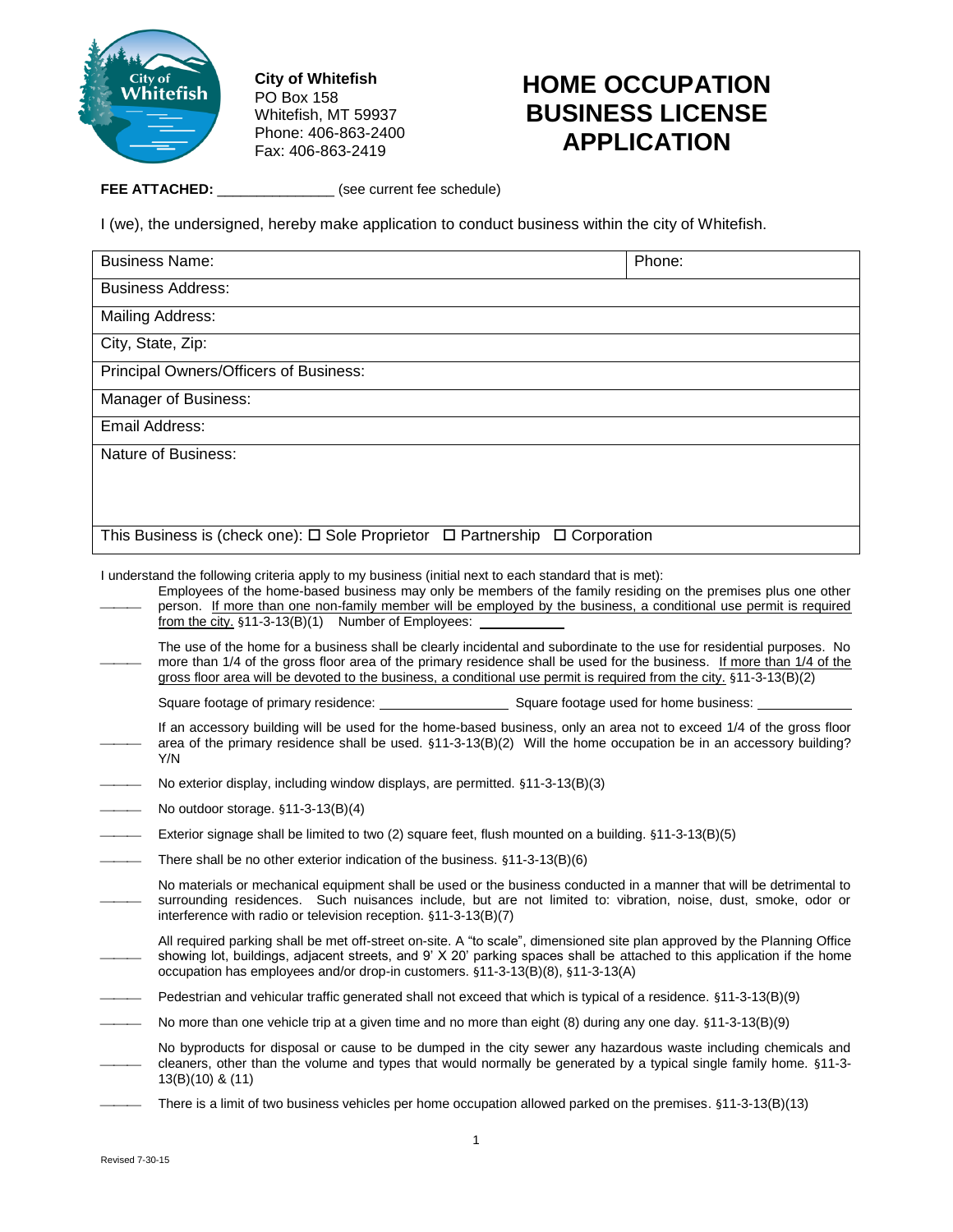

**City of Whitefish** PO Box 158 Whitefish, MT 59937 Phone: 406-863-2400 Fax: 406-863-2419

## **HOME OCCUPATION BUSINESS LICENSE APPLICATION**

**FEE ATTACHED:** \_\_\_\_\_\_\_\_\_\_\_\_\_\_\_ (see current fee schedule)

I (we), the undersigned, hereby make application to conduct business within the city of Whitefish.

| <b>Business Name:</b>                                                                                                                                                                                                                                                                                                                                                                              |                                                                                                                                                                                                                                                                                                                                                                          | Phone: |  |  |
|----------------------------------------------------------------------------------------------------------------------------------------------------------------------------------------------------------------------------------------------------------------------------------------------------------------------------------------------------------------------------------------------------|--------------------------------------------------------------------------------------------------------------------------------------------------------------------------------------------------------------------------------------------------------------------------------------------------------------------------------------------------------------------------|--------|--|--|
|                                                                                                                                                                                                                                                                                                                                                                                                    | <b>Business Address:</b>                                                                                                                                                                                                                                                                                                                                                 |        |  |  |
| Mailing Address:                                                                                                                                                                                                                                                                                                                                                                                   |                                                                                                                                                                                                                                                                                                                                                                          |        |  |  |
| City, State, Zip:                                                                                                                                                                                                                                                                                                                                                                                  |                                                                                                                                                                                                                                                                                                                                                                          |        |  |  |
|                                                                                                                                                                                                                                                                                                                                                                                                    | Principal Owners/Officers of Business:                                                                                                                                                                                                                                                                                                                                   |        |  |  |
|                                                                                                                                                                                                                                                                                                                                                                                                    | Manager of Business:                                                                                                                                                                                                                                                                                                                                                     |        |  |  |
| Email Address:                                                                                                                                                                                                                                                                                                                                                                                     |                                                                                                                                                                                                                                                                                                                                                                          |        |  |  |
|                                                                                                                                                                                                                                                                                                                                                                                                    | Nature of Business:                                                                                                                                                                                                                                                                                                                                                      |        |  |  |
|                                                                                                                                                                                                                                                                                                                                                                                                    |                                                                                                                                                                                                                                                                                                                                                                          |        |  |  |
|                                                                                                                                                                                                                                                                                                                                                                                                    |                                                                                                                                                                                                                                                                                                                                                                          |        |  |  |
|                                                                                                                                                                                                                                                                                                                                                                                                    | This Business is (check one): $\Box$ Sole Proprietor $\Box$ Partnership $\Box$ Corporation                                                                                                                                                                                                                                                                               |        |  |  |
| I understand the following criteria apply to my business (initial next to each standard that is met):<br>Employees of the home-based business may only be members of the family residing on the premises plus one other<br>person. If more than one non-family member will be employed by the business, a conditional use permit is required<br>from the city. §11-3-13(B)(1) Number of Employees: |                                                                                                                                                                                                                                                                                                                                                                          |        |  |  |
|                                                                                                                                                                                                                                                                                                                                                                                                    | The use of the home for a business shall be clearly incidental and subordinate to the use for residential purposes. No<br>more than 1/4 of the gross floor area of the primary residence shall be used for the business. If more than 1/4 of the<br>gross floor area will be devoted to the business, a conditional use permit is required from the city. §11-3-13(B)(2) |        |  |  |
|                                                                                                                                                                                                                                                                                                                                                                                                    |                                                                                                                                                                                                                                                                                                                                                                          |        |  |  |
|                                                                                                                                                                                                                                                                                                                                                                                                    | If an accessory building will be used for the home-based business, only an area not to exceed 1/4 of the gross floor<br>area of the primary residence shall be used. §11-3-13(B)(2) Will the home occupation be in an accessory building?<br>Y/N                                                                                                                         |        |  |  |
|                                                                                                                                                                                                                                                                                                                                                                                                    | No exterior display, including window displays, are permitted. §11-3-13(B)(3)                                                                                                                                                                                                                                                                                            |        |  |  |
|                                                                                                                                                                                                                                                                                                                                                                                                    | No outdoor storage. $§11-3-13(B)(4)$                                                                                                                                                                                                                                                                                                                                     |        |  |  |
|                                                                                                                                                                                                                                                                                                                                                                                                    | Exterior signage shall be limited to two (2) square feet, flush mounted on a building. §11-3-13(B)(5)                                                                                                                                                                                                                                                                    |        |  |  |
|                                                                                                                                                                                                                                                                                                                                                                                                    | There shall be no other exterior indication of the business. $§11-3-13(B)(6)$                                                                                                                                                                                                                                                                                            |        |  |  |
|                                                                                                                                                                                                                                                                                                                                                                                                    | No materials or mechanical equipment shall be used or the business conducted in a manner that will be detrimental to<br>surrounding residences. Such nuisances include, but are not limited to: vibration, noise, dust, smoke, odor or<br>interference with radio or television reception. §11-3-13(B)(7)                                                                |        |  |  |
|                                                                                                                                                                                                                                                                                                                                                                                                    | All required parking shall be met off-street on-site. A "to scale", dimensioned site plan approved by the Planning Office<br>showing lot, buildings, adjacent streets, and 9' X 20' parking spaces shall be attached to this application if the home<br>occupation has employees and/or drop-in customers. §11-3-13(B)(8), §11-3-13(A)                                   |        |  |  |
|                                                                                                                                                                                                                                                                                                                                                                                                    | Pedestrian and vehicular traffic generated shall not exceed that which is typical of a residence. §11-3-13(B)(9)                                                                                                                                                                                                                                                         |        |  |  |
|                                                                                                                                                                                                                                                                                                                                                                                                    | No more than one vehicle trip at a given time and no more than eight (8) during any one day. §11-3-13(B)(9)                                                                                                                                                                                                                                                              |        |  |  |
|                                                                                                                                                                                                                                                                                                                                                                                                    | No byproducts for disposal or cause to be dumped in the city sewer any hazardous waste including chemicals and<br>cleaners, other than the volume and types that would normally be generated by a typical single family home. §11-3-<br>$13(B)(10)$ & $(11)$                                                                                                             |        |  |  |
|                                                                                                                                                                                                                                                                                                                                                                                                    | There is a limit of two business vehicles per home occupation allowed parked on the premises. §11-3-13(B)(13)                                                                                                                                                                                                                                                            |        |  |  |